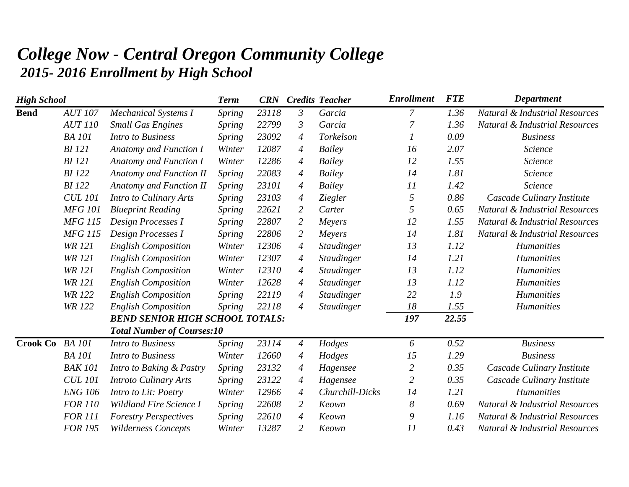## *College Now - Central Oregon Community College 2015- 2016 Enrollment by High School*

| <b>High School</b> |                |                                        | <b>Term</b>   | <b>CRN</b> |                | <b>Credits Teacher</b> | <b>Enrollment</b> | <b>FTE</b> | Department                                |
|--------------------|----------------|----------------------------------------|---------------|------------|----------------|------------------------|-------------------|------------|-------------------------------------------|
| <b>Bend</b>        | <b>AUT 107</b> | Mechanical Systems I                   | Spring        | 23118      | $\mathfrak{Z}$ | Garcia                 | $\overline{7}$    | 1.36       | <b>Natural &amp; Industrial Resources</b> |
|                    | <b>AUT 110</b> | <b>Small Gas Engines</b>               | Spring        | 22799      | $\mathfrak{Z}$ | Garcia                 | $\overline{7}$    | 1.36       | Natural & Industrial Resources            |
|                    | <b>BA</b> 101  | <b>Intro to Business</b>               | Spring        | 23092      | 4              | Torkelson              | 1                 | 0.09       | <b>Business</b>                           |
|                    | <b>BI</b> 121  | Anatomy and Function I                 | Winter        | 12087      | $\overline{4}$ | Bailey                 | 16                | 2.07       | <b>Science</b>                            |
|                    | <b>BI</b> 121  | <b>Anatomy and Function I</b>          | Winter        | 12286      | $\overline{A}$ | Bailey                 | 12                | 1.55       | Science                                   |
|                    | <b>BI</b> 122  | <b>Anatomy and Function II</b>         | Spring        | 22083      | $\overline{A}$ | Bailey                 | 14                | 1.81       | Science                                   |
|                    | <b>BI</b> 122  | <b>Anatomy and Function II</b>         | Spring        | 23101      | $\overline{4}$ | Bailey                 | 11                | 1.42       | Science                                   |
|                    | <b>CUL 101</b> | Intro to Culinary Arts                 | Spring        | 23103      | 4              | <b>Ziegler</b>         | 5                 | 0.86       | Cascade Culinary Institute                |
|                    | <b>MFG 101</b> | <b>Blueprint Reading</b>               | Spring        | 22621      | $\overline{2}$ | Carter                 | 5                 | 0.65       | <b>Natural &amp; Industrial Resources</b> |
|                    | <b>MFG 115</b> | Design Processes I                     | Spring        | 22807      | $\overline{2}$ | Meyers                 | 12                | 1.55       | Natural & Industrial Resources            |
|                    | <b>MFG 115</b> | Design Processes I                     | <b>Spring</b> | 22806      | $\overline{2}$ | Meyers                 | 14                | 1.81       | <b>Natural &amp; Industrial Resources</b> |
|                    | <b>WR 121</b>  | <b>English Composition</b>             | Winter        | 12306      | $\overline{4}$ | Staudinger             | 13                | 1.12       | <b>Humanities</b>                         |
|                    | <b>WR</b> 121  | <b>English Composition</b>             | Winter        | 12307      | $\overline{4}$ | <i>Staudinger</i>      | 14                | 1.21       | <b>Humanities</b>                         |
|                    | <b>WR 121</b>  | <b>English Composition</b>             | Winter        | 12310      | 4              | <b>Staudinger</b>      | 13                | 1.12       | <b>Humanities</b>                         |
|                    | <b>WR 121</b>  | <b>English Composition</b>             | Winter        | 12628      | 4              | <b>Staudinger</b>      | 13                | 1.12       | <b>Humanities</b>                         |
|                    | <b>WR 122</b>  | <b>English Composition</b>             | <b>Spring</b> | 22119      | $\overline{4}$ | <b>Staudinger</b>      | 22                | 1.9        | <b>Humanities</b>                         |
|                    | <b>WR 122</b>  | <b>English Composition</b>             | Spring        | 22118      | $\overline{4}$ | <b>Staudinger</b>      | 18                | 1.55       | <b>Humanities</b>                         |
|                    |                | <b>BEND SENIOR HIGH SCHOOL TOTALS:</b> |               |            |                |                        | 197               | 22.55      |                                           |
|                    |                | <b>Total Number of Courses:10</b>      |               |            |                |                        |                   |            |                                           |
| Crook Co BA 101    |                | <b>Intro to Business</b>               | Spring        | 23114      | $\overline{A}$ | Hodges                 | 6                 | 0.52       | <b>Business</b>                           |
|                    | <b>BA</b> 101  | <b>Intro to Business</b>               | Winter        | 12660      | 4              | Hodges                 | 15                | 1.29       | <b>Business</b>                           |
|                    | <b>BAK 101</b> | Intro to Baking & Pastry               | <i>Spring</i> | 23132      | 4              | Hagensee               | $\mathfrak{2}$    | 0.35       | Cascade Culinary Institute                |
|                    | <b>CUL 101</b> | <b>Introto Culinary Arts</b>           | <b>Spring</b> | 23122      | $\overline{A}$ | Hagensee               | $\mathfrak{2}$    | 0.35       | Cascade Culinary Institute                |
|                    | <b>ENG 106</b> | Intro to Lit: Poetry                   | Winter        | 12966      | 4              | Churchill-Dicks        | 14                | 1.21       | <b>Humanities</b>                         |
|                    | <b>FOR 110</b> | <b>Wildland Fire Science I</b>         | <b>Spring</b> | 22608      | $\overline{2}$ | Keown                  | $\boldsymbol{8}$  | 0.69       | <b>Natural &amp; Industrial Resources</b> |
|                    | <b>FOR 111</b> | <b>Forestry Perspectives</b>           | <b>Spring</b> | 22610      | $\overline{4}$ | Keown                  | 9                 | 1.16       | Natural & Industrial Resources            |
|                    | <b>FOR 195</b> | <b>Wilderness Concepts</b>             | Winter        | 13287      | $\overline{2}$ | Keown                  | 11                | 0.43       | <b>Natural &amp; Industrial Resources</b> |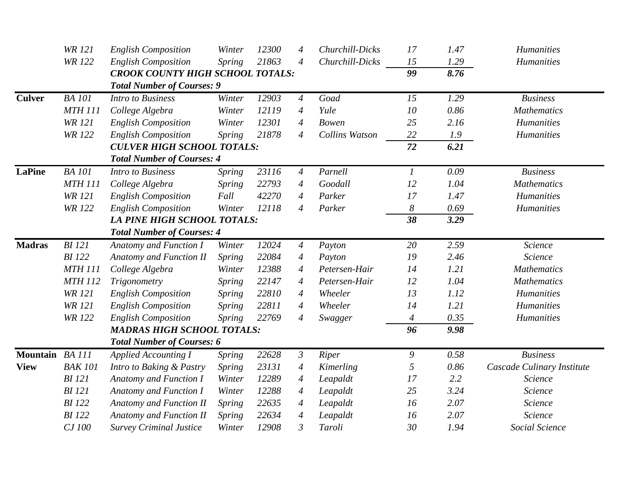|                 | <b>WR 121</b>  | <b>English Composition</b>              | Winter        | 12300 | 4                        | Churchill-Dicks       | 17               | 1.47 | <b>Humanities</b>          |
|-----------------|----------------|-----------------------------------------|---------------|-------|--------------------------|-----------------------|------------------|------|----------------------------|
|                 | <b>WR 122</b>  | <b>English Composition</b>              | Spring        | 21863 | $\overline{4}$           | Churchill-Dicks       | 15               | 1.29 | <b>Humanities</b>          |
|                 |                | <b>CROOK COUNTY HIGH SCHOOL TOTALS:</b> |               |       |                          |                       | 99               | 8.76 |                            |
|                 |                | <b>Total Number of Courses: 9</b>       |               |       |                          |                       |                  |      |                            |
| <b>Culver</b>   | <b>BA</b> 101  | <b>Intro to Business</b>                | Winter        | 12903 | $\overline{4}$           | Goad                  | 15               | 1.29 | <b>Business</b>            |
|                 | <b>MTH 111</b> | College Algebra                         | Winter        | 12119 | $\overline{A}$           | Yule                  | 10               | 0.86 | <b>Mathematics</b>         |
|                 | <b>WR 121</b>  | <b>English Composition</b>              | Winter        | 12301 | $\overline{4}$           | <b>Bowen</b>          | 25               | 2.16 | <b>Humanities</b>          |
|                 | <b>WR 122</b>  | <b>English Composition</b>              | Spring        | 21878 | $\overline{4}$           | <b>Collins Watson</b> | 22               | 1.9  | <b>Humanities</b>          |
|                 |                | <b>CULVER HIGH SCHOOL TOTALS:</b>       |               |       |                          |                       | 72               | 6.21 |                            |
|                 |                | <b>Total Number of Courses: 4</b>       |               |       |                          |                       |                  |      |                            |
| <b>LaPine</b>   | <b>BA</b> 101  | <b>Intro to Business</b>                | Spring        | 23116 | $\overline{A}$           | Parnell               | $\boldsymbol{l}$ | 0.09 | <b>Business</b>            |
|                 | <b>MTH 111</b> | College Algebra                         | <b>Spring</b> | 22793 | 4                        | Goodall               | 12               | 1.04 | <b>Mathematics</b>         |
|                 | <b>WR 121</b>  | <b>English Composition</b>              | Fall          | 42270 | $\overline{A}$           | Parker                | 17               | 1.47 | <b>Humanities</b>          |
|                 | <b>WR 122</b>  | <b>English Composition</b>              | Winter        | 12118 | 4                        | Parker                | 8                | 0.69 | <b>Humanities</b>          |
|                 |                | <b>LA PINE HIGH SCHOOL TOTALS:</b>      |               |       |                          |                       | 38               | 3.29 |                            |
|                 |                | <b>Total Number of Courses: 4</b>       |               |       |                          |                       |                  |      |                            |
| <b>Madras</b>   | $BI$ 121       | Anatomy and Function I                  | Winter        | 12024 | $\overline{4}$           | Payton                | 20               | 2.59 | Science                    |
|                 | <b>BI</b> 122  | <b>Anatomy and Function II</b>          | Spring        | 22084 | $\overline{A}$           | Payton                | 19               | 2.46 | Science                    |
|                 | <b>MTH 111</b> | College Algebra                         | Winter        | 12388 | $\overline{A}$           | Petersen-Hair         | 14               | 1.21 | <b>Mathematics</b>         |
|                 | <b>MTH 112</b> | Trigonometry                            | Spring        | 22147 | 4                        | Petersen-Hair         | 12               | 1.04 | <b>Mathematics</b>         |
|                 | <b>WR 121</b>  | <b>English Composition</b>              | Spring        | 22810 | $\overline{4}$           | Wheeler               | 13               | 1.12 | <b>Humanities</b>          |
|                 | <b>WR 121</b>  | <b>English Composition</b>              | Spring        | 22811 | $\overline{A}$           | Wheeler               | 14               | 1.21 | <b>Humanities</b>          |
|                 | <b>WR 122</b>  | <b>English Composition</b>              | Spring        | 22769 | 4                        | Swagger               | $\overline{4}$   | 0.35 | <b>Humanities</b>          |
|                 |                | <b>MADRAS HIGH SCHOOL TOTALS:</b>       |               |       |                          |                       | 96               | 9.98 |                            |
|                 |                | <b>Total Number of Courses: 6</b>       |               |       |                          |                       |                  |      |                            |
| Mountain BA 111 |                | <b>Applied Accounting I</b>             | <b>Spring</b> | 22628 | $\mathfrak{Z}$           | Riper                 | 9                | 0.58 | <b>Business</b>            |
| <b>View</b>     | <b>BAK 101</b> | Intro to Baking & Pastry                | Spring        | 23131 | $\overline{4}$           | Kimerling             | 5                | 0.86 | Cascade Culinary Institute |
|                 | <b>BI</b> 121  | Anatomy and Function I                  | Winter        | 12289 | $\overline{\mathcal{A}}$ | Leapaldt              | 17               | 2.2  | Science                    |
|                 | <b>BI</b> 121  | <b>Anatomy and Function I</b>           | Winter        | 12288 | $\overline{\mathcal{A}}$ | Leapaldt              | 25               | 3.24 | Science                    |
|                 | <b>BI</b> 122  | <b>Anatomy and Function II</b>          | Spring        | 22635 | $\boldsymbol{4}$         | Leapaldt              | 16               | 2.07 | Science                    |
|                 | <b>BI</b> 122  | <b>Anatomy and Function II</b>          | <b>Spring</b> | 22634 | 4                        | Leapaldt              | 16               | 2.07 | Science                    |
|                 | CJ 100         | <b>Survey Criminal Justice</b>          | Winter        | 12908 | $\mathfrak{Z}$           | Taroli                | 30               | 1.94 | Social Science             |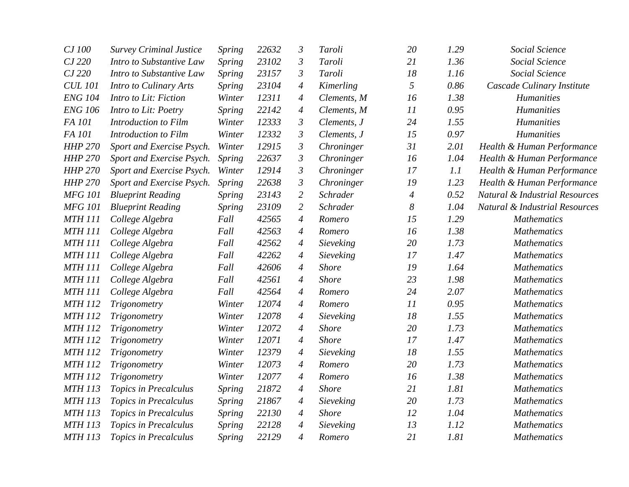| CJ 100         | <b>Survey Criminal Justice</b> | Spring        | 22632 | $\mathfrak{Z}$   | Taroli       | 20             | 1.29 | Social Science                            |
|----------------|--------------------------------|---------------|-------|------------------|--------------|----------------|------|-------------------------------------------|
| CJ 220         | Intro to Substantive Law       | <b>Spring</b> | 23102 | $\mathfrak{Z}$   | Taroli       | 21             | 1.36 | Social Science                            |
| CJ 220         | Intro to Substantive Law       | Spring        | 23157 | $\mathfrak{Z}$   | Taroli       | 18             | 1.16 | Social Science                            |
| <b>CUL 101</b> | Intro to Culinary Arts         | <i>Spring</i> | 23104 | 4                | Kimerling    | 5              | 0.86 | Cascade Culinary Institute                |
| <b>ENG 104</b> | Intro to Lit: Fiction          | Winter        | 12311 | $\boldsymbol{4}$ | Clements, M  | 16             | 1.38 | <b>Humanities</b>                         |
| <b>ENG 106</b> | Intro to Lit: Poetry           | <b>Spring</b> | 22142 | $\boldsymbol{4}$ | Clements, M  | 11             | 0.95 | <b>Humanities</b>                         |
| FA 101         | Introduction to Film           | Winter        | 12333 | $\mathfrak{Z}$   | Clements, J  | 24             | 1.55 | <b>Humanities</b>                         |
| FA 101         | Introduction to Film           | Winter        | 12332 | $\mathfrak{Z}$   | Clements, J  | 15             | 0.97 | <b>Humanities</b>                         |
| <b>HHP 270</b> | Sport and Exercise Psych.      | Winter        | 12915 | $\mathfrak{Z}$   | Chroninger   | 31             | 2.01 | Health & Human Performance                |
| <b>HHP 270</b> | Sport and Exercise Psych.      | Spring        | 22637 | $\mathfrak{Z}$   | Chroninger   | 16             | 1.04 | Health & Human Performance                |
| <b>HHP 270</b> | Sport and Exercise Psych.      | Winter        | 12914 | $\mathfrak{Z}$   | Chroninger   | 17             | 1.1  | Health & Human Performance                |
| <b>HHP 270</b> | Sport and Exercise Psych.      | <b>Spring</b> | 22638 | $\mathfrak{Z}$   | Chroninger   | 19             | 1.23 | Health & Human Performance                |
| <b>MFG 101</b> | <b>Blueprint Reading</b>       | <b>Spring</b> | 23143 | $\mathfrak{2}$   | Schrader     | $\overline{4}$ | 0.52 | Natural & Industrial Resources            |
| <b>MFG 101</b> | <b>Blueprint Reading</b>       | <b>Spring</b> | 23109 | $\overline{2}$   | Schrader     | 8              | 1.04 | <b>Natural &amp; Industrial Resources</b> |
| <b>MTH 111</b> | College Algebra                | Fall          | 42565 | $\overline{4}$   | Romero       | 15             | 1.29 | <b>Mathematics</b>                        |
| <b>MTH 111</b> | College Algebra                | Fall          | 42563 | $\boldsymbol{4}$ | Romero       | 16             | 1.38 | <b>Mathematics</b>                        |
| <b>MTH 111</b> | College Algebra                | Fall          | 42562 | $\boldsymbol{4}$ | Sieveking    | 20             | 1.73 | <b>Mathematics</b>                        |
| <b>MTH 111</b> | College Algebra                | Fall          | 42262 | $\boldsymbol{4}$ | Sieveking    | 17             | 1.47 | <b>Mathematics</b>                        |
| <b>MTH 111</b> | College Algebra                | Fall          | 42606 | $\overline{4}$   | <b>Shore</b> | 19             | 1.64 | <b>Mathematics</b>                        |
| <b>MTH 111</b> | College Algebra                | Fall          | 42561 | $\boldsymbol{4}$ | <b>Shore</b> | 23             | 1.98 | <b>Mathematics</b>                        |
| <b>MTH 111</b> | College Algebra                | Fall          | 42564 | 4                | Romero       | 24             | 2.07 | <b>Mathematics</b>                        |
| <b>MTH 112</b> | Trigonometry                   | Winter        | 12074 | $\overline{4}$   | Romero       | 11             | 0.95 | <b>Mathematics</b>                        |
| <b>MTH 112</b> | Trigonometry                   | Winter        | 12078 | $\overline{4}$   | Sieveking    | 18             | 1.55 | <b>Mathematics</b>                        |
| <b>MTH 112</b> | Trigonometry                   | Winter        | 12072 | 4                | <b>Shore</b> | 20             | 1.73 | <b>Mathematics</b>                        |
| <b>MTH 112</b> | Trigonometry                   | Winter        | 12071 | $\boldsymbol{4}$ | <b>Shore</b> | 17             | 1.47 | <b>Mathematics</b>                        |
| <b>MTH 112</b> | Trigonometry                   | Winter        | 12379 | $\boldsymbol{4}$ | Sieveking    | 18             | 1.55 | <b>Mathematics</b>                        |
| <b>MTH 112</b> | Trigonometry                   | Winter        | 12073 | 4                | Romero       | 20             | 1.73 | <b>Mathematics</b>                        |
| <b>MTH 112</b> | Trigonometry                   | Winter        | 12077 | 4                | Romero       | 16             | 1.38 | <b>Mathematics</b>                        |
| <b>MTH 113</b> | Topics in Precalculus          | <b>Spring</b> | 21872 | $\boldsymbol{4}$ | <b>Shore</b> | 21             | 1.81 | <b>Mathematics</b>                        |
| <b>MTH 113</b> | Topics in Precalculus          | Spring        | 21867 | $\overline{4}$   | Sieveking    | 20             | 1.73 | <b>Mathematics</b>                        |
| <b>MTH 113</b> | Topics in Precalculus          | <b>Spring</b> | 22130 | $\boldsymbol{4}$ | <b>Shore</b> | 12             | 1.04 | <b>Mathematics</b>                        |
| <b>MTH 113</b> | Topics in Precalculus          | <b>Spring</b> | 22128 | $\overline{4}$   | Sieveking    | 13             | 1.12 | <b>Mathematics</b>                        |
| <b>MTH 113</b> | <b>Topics in Precalculus</b>   | <b>Spring</b> | 22129 | $\overline{4}$   | Romero       | 21             | 1.81 | <b>Mathematics</b>                        |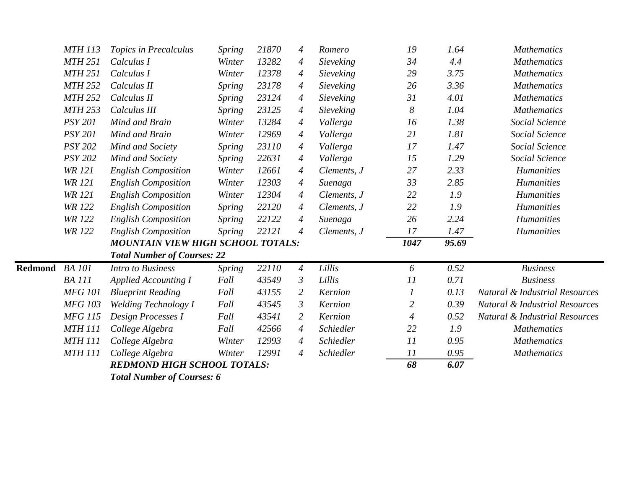|                | <b>MTH 113</b> | Topics in Precalculus                    | <b>Spring</b> | 21870 | 4              | Romero      | 19               | 1.64  | <b>Mathematics</b>                        |
|----------------|----------------|------------------------------------------|---------------|-------|----------------|-------------|------------------|-------|-------------------------------------------|
|                | <b>MTH 251</b> | Calculus I                               | Winter        | 13282 | $\overline{4}$ | Sieveking   | 34               | 4.4   | <b>Mathematics</b>                        |
|                | <b>MTH 251</b> | Calculus I                               | Winter        | 12378 | $\overline{4}$ | Sieveking   | 29               | 3.75  | <b>Mathematics</b>                        |
|                | <b>MTH 252</b> | Calculus II                              | <b>Spring</b> | 23178 | $\overline{A}$ | Sieveking   | 26               | 3.36  | <b>Mathematics</b>                        |
|                | <b>MTH 252</b> | Calculus II                              | <b>Spring</b> | 23124 | $\overline{4}$ | Sieveking   | 31               | 4.01  | <b>Mathematics</b>                        |
|                | <b>MTH 253</b> | Calculus III                             | <b>Spring</b> | 23125 | $\overline{4}$ | Sieveking   | 8                | 1.04  | <b>Mathematics</b>                        |
|                | <b>PSY 201</b> | Mind and Brain                           | Winter        | 13284 | $\overline{A}$ | Vallerga    | 16               | 1.38  | Social Science                            |
|                | <b>PSY 201</b> | Mind and Brain                           | Winter        | 12969 | $\overline{A}$ | Vallerga    | 21               | 1.81  | Social Science                            |
|                | <b>PSY 202</b> | Mind and Society                         | <b>Spring</b> | 23110 | $\overline{A}$ | Vallerga    | 17               | 1.47  | Social Science                            |
|                | <b>PSY 202</b> | Mind and Society                         | <b>Spring</b> | 22631 | $\overline{A}$ | Vallerga    | 15               | 1.29  | Social Science                            |
|                | <b>WR 121</b>  | <b>English Composition</b>               | Winter        | 12661 | $\overline{4}$ | Clements, J | 27               | 2.33  | Humanities                                |
|                | <b>WR 121</b>  | <b>English Composition</b>               | Winter        | 12303 | $\overline{A}$ | Suenaga     | 33               | 2.85  | <b>Humanities</b>                         |
|                | <b>WR 121</b>  | <b>English Composition</b>               | Winter        | 12304 | $\overline{A}$ | Clements, J | 22               | 1.9   | <b>Humanities</b>                         |
|                | <b>WR 122</b>  | <b>English Composition</b>               | <b>Spring</b> | 22120 | $\overline{A}$ | Clements, J | 22               | 1.9   | <b>Humanities</b>                         |
|                | <b>WR 122</b>  | <b>English Composition</b>               | <b>Spring</b> | 22122 | $\overline{4}$ | Suenaga     | 26               | 2.24  | <b>Humanities</b>                         |
|                | <b>WR 122</b>  | <b>English Composition</b>               | <b>Spring</b> | 22121 | $\overline{A}$ | Clements, J | 17               | 1.47  | <b>Humanities</b>                         |
|                |                | <b>MOUNTAIN VIEW HIGH SCHOOL TOTALS:</b> |               |       |                |             | 1047             | 95.69 |                                           |
|                |                | <b>Total Number of Courses: 22</b>       |               |       |                |             |                  |       |                                           |
| <b>Redmond</b> | <b>BA</b> 101  | <b>Intro to Business</b>                 | <i>Spring</i> | 22110 | $\overline{A}$ | Lillis      | 6                | 0.52  | <b>Business</b>                           |
|                | <b>BA</b> 111  | <b>Applied Accounting I</b>              | Fall          | 43549 | $\mathfrak{Z}$ | Lillis      | 11               | 0.71  | <b>Business</b>                           |
|                | <b>MFG 101</b> | <b>Blueprint Reading</b>                 | Fall          | 43155 | $\overline{2}$ | Kernion     | $\boldsymbol{l}$ | 0.13  | <b>Natural &amp; Industrial Resources</b> |
|                | <b>MFG 103</b> | <b>Welding Technology I</b>              | Fall          | 43545 | $\mathfrak{Z}$ | Kernion     | $\mathfrak{2}$   | 0.39  | <b>Natural &amp; Industrial Resources</b> |
|                | <b>MFG 115</b> | Design Processes I                       | Fall          | 43541 | $\overline{2}$ | Kernion     | 4                | 0.52  | <b>Natural &amp; Industrial Resources</b> |
|                | <b>MTH 111</b> | College Algebra                          | Fall          | 42566 | $\overline{A}$ | Schiedler   | 22               | 1.9   | <b>Mathematics</b>                        |
|                | <b>MTH 111</b> | College Algebra                          | Winter        | 12993 | $\overline{4}$ | Schiedler   | 11               | 0.95  | <b>Mathematics</b>                        |
|                | <b>MTH 111</b> | College Algebra                          | Winter        | 12991 | $\overline{4}$ | Schiedler   | 11               | 0.95  | <b>Mathematics</b>                        |
|                |                | <b>REDMOND HIGH SCHOOL TOTALS:</b>       |               |       |                |             | 68               | 6.07  |                                           |
|                |                |                                          |               |       |                |             |                  |       |                                           |

*Total Number of Courses: 6*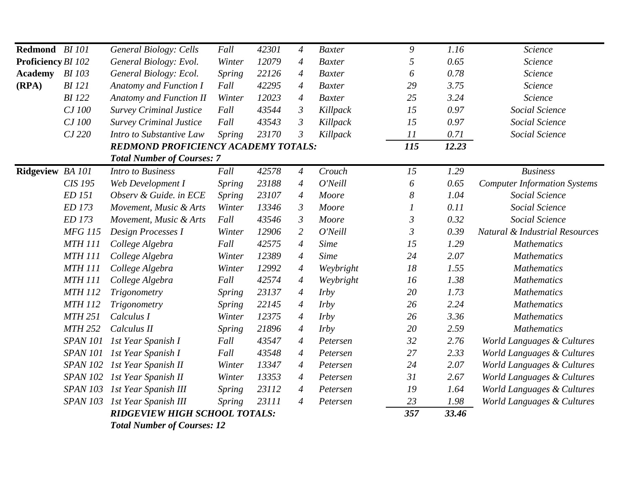| Redmond BI 101            |                 | <b>General Biology: Cells</b>              | Fall          | 42301 | $\overline{4}$ | <b>Baxter</b> | 9                | 1.16  | Science                                   |
|---------------------------|-----------------|--------------------------------------------|---------------|-------|----------------|---------------|------------------|-------|-------------------------------------------|
| <b>Proficiency BI 102</b> |                 | General Biology: Evol.                     | Winter        | 12079 | $\overline{4}$ | <b>Baxter</b> | $\mathfrak{H}$   | 0.65  | Science                                   |
| Academy BI 103            |                 | General Biology: Ecol.                     | Spring        | 22126 | $\overline{4}$ | <b>Baxter</b> | 6                | 0.78  | Science                                   |
| (RPA)                     | <b>BI</b> 121   | Anatomy and Function I                     | Fall          | 42295 | $\overline{4}$ | <b>Baxter</b> | 29               | 3.75  | Science                                   |
|                           | <b>BI</b> 122   | <b>Anatomy and Function II</b>             | Winter        | 12023 | $\overline{4}$ | <b>Baxter</b> | 25               | 3.24  | Science                                   |
|                           | CJ 100          | <b>Survey Criminal Justice</b>             | Fall          | 43544 | $\mathfrak{Z}$ | Killpack      | 15               | 0.97  | Social Science                            |
|                           | CJ 100          | <b>Survey Criminal Justice</b>             | Fall          | 43543 | $\mathfrak{Z}$ | Killpack      | 15               | 0.97  | Social Science                            |
|                           | CJ 220          | Intro to Substantive Law                   | <b>Spring</b> | 23170 | $\mathfrak{Z}$ | Killpack      | 11               | 0.71  | Social Science                            |
|                           |                 | <b>REDMOND PROFICIENCY ACADEMY TOTALS:</b> |               |       |                |               | 115              | 12.23 |                                           |
|                           |                 | <b>Total Number of Courses: 7</b>          |               |       |                |               |                  |       |                                           |
| Ridgeview BA 101          |                 | <b>Intro to Business</b>                   | Fall          | 42578 | $\overline{4}$ | Crouch        | 15               | 1.29  | <b>Business</b>                           |
|                           | CIS 195         | Web Development I                          | Spring        | 23188 | $\overline{4}$ | O'Neill       | 6                | 0.65  | <b>Computer Information Systems</b>       |
|                           | ED 151          | Observ & Guide. in ECE                     | Spring        | 23107 | $\overline{4}$ | Moore         | $\boldsymbol{8}$ | 1.04  | Social Science                            |
|                           | ED 173          | Movement, Music & Arts                     | Winter        | 13346 | $\mathfrak{Z}$ | Moore         | $\boldsymbol{l}$ | 0.11  | Social Science                            |
|                           | ED 173          | Movement, Music & Arts                     | Fall          | 43546 | $\mathfrak{Z}$ | Moore         | $\mathfrak{Z}$   | 0.32  | Social Science                            |
|                           | <b>MFG 115</b>  | Design Processes I                         | Winter        | 12906 | $\overline{2}$ | O'Neill       | $\mathfrak{Z}$   | 0.39  | <b>Natural &amp; Industrial Resources</b> |
|                           | <b>MTH 111</b>  | College Algebra                            | Fall          | 42575 | $\overline{4}$ | <b>Sime</b>   | 15               | 1.29  | <b>Mathematics</b>                        |
|                           | <b>MTH 111</b>  | College Algebra                            | Winter        | 12389 | $\overline{4}$ | <b>Sime</b>   | 24               | 2.07  | <b>Mathematics</b>                        |
|                           | <b>MTH 111</b>  | College Algebra                            | Winter        | 12992 | $\overline{4}$ | Weybright     | 18               | 1.55  | <b>Mathematics</b>                        |
|                           | <b>MTH 111</b>  | College Algebra                            | Fall          | 42574 | $\overline{4}$ | Weybright     | 16               | 1.38  | <b>Mathematics</b>                        |
|                           | <b>MTH 112</b>  | Trigonometry                               | <b>Spring</b> | 23137 | $\overline{4}$ | <i>Irby</i>   | 20               | 1.73  | <b>Mathematics</b>                        |
|                           | <b>MTH 112</b>  | Trigonometry                               | <b>Spring</b> | 22145 | $\overline{4}$ | <i>Irby</i>   | 26               | 2.24  | <b>Mathematics</b>                        |
|                           | <b>MTH 251</b>  | Calculus I                                 | Winter        | 12375 | $\overline{4}$ | <i>Irby</i>   | 26               | 3.36  | <b>Mathematics</b>                        |
|                           | <b>MTH 252</b>  | Calculus II                                | Spring        | 21896 | $\overline{4}$ | <i>Irby</i>   | 20               | 2.59  | <b>Mathematics</b>                        |
|                           | <b>SPAN 101</b> | 1st Year Spanish I                         | Fall          | 43547 | $\overline{4}$ | Petersen      | 32               | 2.76  | World Languages & Cultures                |
|                           | <i>SPAN 101</i> | 1st Year Spanish I                         | Fall          | 43548 | $\overline{4}$ | Petersen      | 27               | 2.33  | World Languages & Cultures                |
|                           | <b>SPAN 102</b> | 1st Year Spanish II                        | Winter        | 13347 | $\overline{4}$ | Petersen      | 24               | 2.07  | World Languages & Cultures                |
|                           | <b>SPAN 102</b> | 1st Year Spanish II                        | Winter        | 13353 | $\overline{A}$ | Petersen      | 31               | 2.67  | World Languages & Cultures                |
|                           | <b>SPAN 103</b> | 1st Year Spanish III                       | <b>Spring</b> | 23112 | $\overline{4}$ | Petersen      | 19               | 1.64  | World Languages & Cultures                |
|                           | <b>SPAN 103</b> | 1st Year Spanish III                       | <b>Spring</b> | 23111 | $\overline{4}$ | Petersen      | 23               | 1.98  | World Languages & Cultures                |
|                           |                 | <b>RIDGEVIEW HIGH SCHOOL TOTALS:</b>       |               |       |                |               | 357              | 33.46 |                                           |
|                           |                 | <b>Total Number of Courses: 12</b>         |               |       |                |               |                  |       |                                           |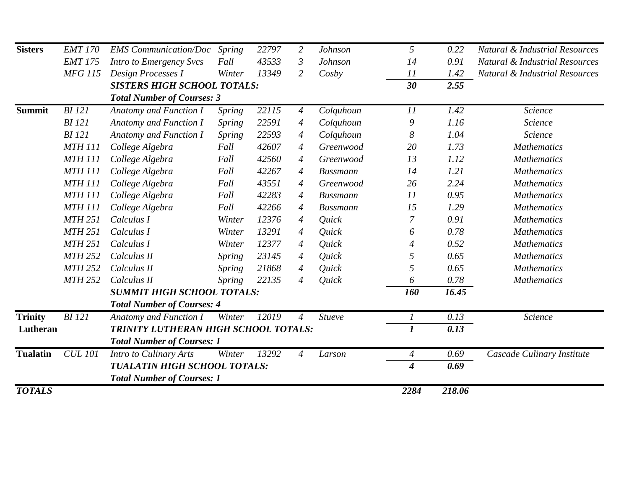| <b>Sisters</b>  | <b>EMT 170</b> | <b>EMS</b> Communication/Doc         | Spring        | 22797 | $\overline{2}$ | Johnson         | 5                           | 0.22   | <b>Natural &amp; Industrial Resources</b> |
|-----------------|----------------|--------------------------------------|---------------|-------|----------------|-----------------|-----------------------------|--------|-------------------------------------------|
|                 | <b>EMT 175</b> | Intro to Emergency Svcs              | Fall          | 43533 | $\mathfrak{Z}$ | Johnson         | 14                          | 0.91   | <b>Natural &amp; Industrial Resources</b> |
|                 | <b>MFG 115</b> | Design Processes I                   | Winter        | 13349 | $\overline{2}$ | Cosby           | 11                          | 1.42   | Natural & Industrial Resources            |
|                 |                | <b>SISTERS HIGH SCHOOL TOTALS:</b>   |               |       |                |                 | 30                          | 2.55   |                                           |
|                 |                | <b>Total Number of Courses: 3</b>    |               |       |                |                 |                             |        |                                           |
| <b>Summit</b>   | <b>BI</b> 121  | <b>Anatomy and Function I</b>        | <b>Spring</b> | 22115 | $\overline{A}$ | Colquhoun       | 11                          | 1.42   | Science                                   |
|                 | <b>BI</b> 121  | Anatomy and Function I               | Spring        | 22591 | $\overline{4}$ | Colquhoun       | $\mathfrak g$               | 1.16   | Science                                   |
|                 | <b>BI</b> 121  | Anatomy and Function I               | Spring        | 22593 | $\overline{A}$ | Colquhoun       | $\boldsymbol{8}$            | 1.04   | Science                                   |
|                 | <b>MTH 111</b> | College Algebra                      | Fall          | 42607 | $\overline{A}$ | Greenwood       | 20                          | 1.73   | <b>Mathematics</b>                        |
|                 | <b>MTH 111</b> | College Algebra                      | Fall          | 42560 | $\overline{4}$ | Greenwood       | 13                          | 1.12   | <b>Mathematics</b>                        |
|                 | <b>MTH 111</b> | College Algebra                      | Fall          | 42267 | $\overline{4}$ | <b>Bussmann</b> | 14                          | 1.21   | <b>Mathematics</b>                        |
|                 | <b>MTH 111</b> | College Algebra                      | Fall          | 43551 | $\overline{4}$ | Greenwood       | 26                          | 2.24   | <b>Mathematics</b>                        |
|                 | <b>MTH 111</b> | College Algebra                      | Fall          | 42283 | $\overline{4}$ | <b>Bussmann</b> | 11                          | 0.95   | <b>Mathematics</b>                        |
|                 | <b>MTH 111</b> | College Algebra                      | Fall          | 42266 | $\overline{4}$ | <b>Bussmann</b> | 15                          | 1.29   | <b>Mathematics</b>                        |
|                 | <b>MTH 251</b> | Calculus I                           | Winter        | 12376 | $\overline{4}$ | Quick           | $\overline{7}$              | 0.91   | <b>Mathematics</b>                        |
|                 | <b>MTH 251</b> | Calculus I                           | Winter        | 13291 | $\overline{4}$ | Quick           | 6                           | 0.78   | <b>Mathematics</b>                        |
|                 | <b>MTH 251</b> | Calculus I                           | Winter        | 12377 | $\overline{A}$ | Quick           | 4                           | 0.52   | <b>Mathematics</b>                        |
|                 | <b>MTH 252</b> | Calculus II                          | Spring        | 23145 | $\overline{4}$ | Quick           | 5                           | 0.65   | <b>Mathematics</b>                        |
|                 | <b>MTH 252</b> | Calculus II                          | <b>Spring</b> | 21868 | $\overline{4}$ | Quick           | 5                           | 0.65   | <b>Mathematics</b>                        |
|                 | <b>MTH 252</b> | Calculus II                          | Spring        | 22135 | $\overline{4}$ | Quick           | 6                           | 0.78   | <b>Mathematics</b>                        |
|                 |                | <b>SUMMIT HIGH SCHOOL TOTALS:</b>    |               |       |                |                 | 160                         | 16.45  |                                           |
|                 |                | <b>Total Number of Courses: 4</b>    |               |       |                |                 |                             |        |                                           |
| <b>Trinity</b>  | <b>BI</b> 121  | Anatomy and Function I               | Winter        | 12019 | 4              | Stueve          | 1                           | 0.13   | Science                                   |
| Lutheran        |                | TRINITY LUTHERAN HIGH SCHOOL TOTALS: |               |       |                |                 | $\boldsymbol{l}$            | 0.13   |                                           |
|                 |                | <b>Total Number of Courses: 1</b>    |               |       |                |                 |                             |        |                                           |
| <b>Tualatin</b> | <b>CUL 101</b> | Intro to Culinary Arts               | Winter        | 13292 | $\overline{A}$ | Larson          | $\overline{A}$              | 0.69   | Cascade Culinary Institute                |
|                 |                | <b>TUALATIN HIGH SCHOOL TOTALS:</b>  |               |       |                |                 | $\overline{\boldsymbol{4}}$ | 0.69   |                                           |
|                 |                | <b>Total Number of Courses: 1</b>    |               |       |                |                 |                             |        |                                           |
| <b>TOTALS</b>   |                |                                      |               |       |                |                 | 2284                        | 218.06 |                                           |